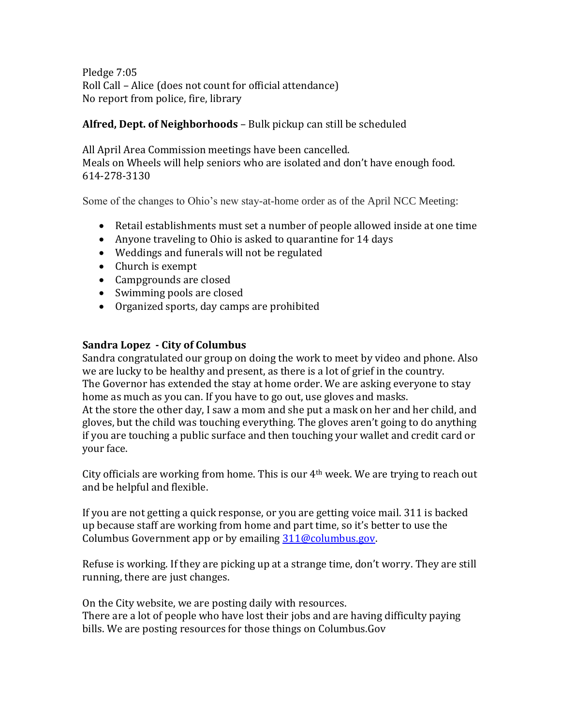Pledge 7:05 Roll Call – Alice (does not count for official attendance) No report from police, fire, library

# **Alfred, Dept. of Neighborhoods** – Bulk pickup can still be scheduled

All April Area Commission meetings have been cancelled. Meals on Wheels will help seniors who are isolated and don't have enough food. 614-278-3130

Some of the changes to Ohio's new stay-at-home order as of the April NCC Meeting:

- Retail establishments must set a number of people allowed inside at one time
- Anyone traveling to Ohio is asked to quarantine for 14 days
- Weddings and funerals will not be regulated
- Church is exempt
- Campgrounds are closed
- Swimming pools are closed
- Organized sports, day camps are prohibited

## **Sandra Lopez - City of Columbus**

Sandra congratulated our group on doing the work to meet by video and phone. Also we are lucky to be healthy and present, as there is a lot of grief in the country. The Governor has extended the stay at home order. We are asking everyone to stay home as much as you can. If you have to go out, use gloves and masks. At the store the other day, I saw a mom and she put a mask on her and her child, and gloves, but the child was touching everything. The gloves aren't going to do anything if you are touching a public surface and then touching your wallet and credit card or your face.

City officials are working from home. This is our 4th week. We are trying to reach out and be helpful and flexible.

If you are not getting a quick response, or you are getting voice mail. 311 is backed up because staff are working from home and part time, so it's better to use the Columbus Government app or by emailing [311@columbus.gov.](mailto:311@columbus.gov)

Refuse is working. If they are picking up at a strange time, don't worry. They are still running, there are just changes.

On the City website, we are posting daily with resources. There are a lot of people who have lost their jobs and are having difficulty paying bills. We are posting resources for those things on Columbus.Gov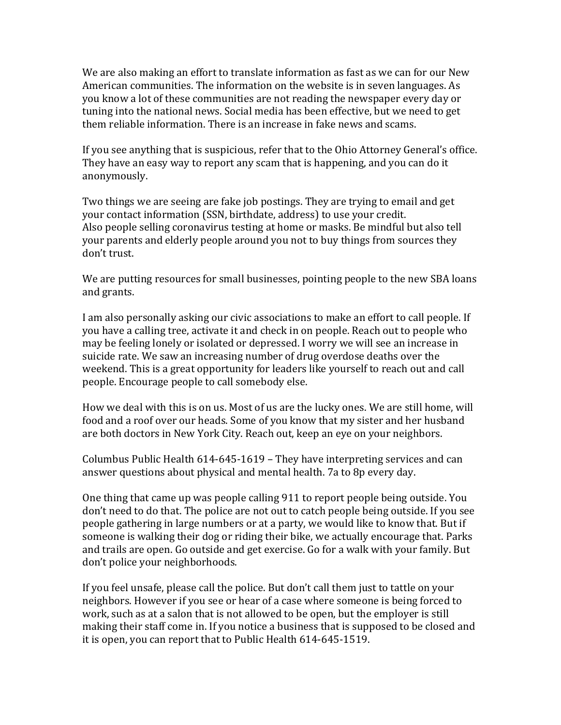We are also making an effort to translate information as fast as we can for our New American communities. The information on the website is in seven languages. As you know a lot of these communities are not reading the newspaper every day or tuning into the national news. Social media has been effective, but we need to get them reliable information. There is an increase in fake news and scams.

If you see anything that is suspicious, refer that to the Ohio Attorney General's office. They have an easy way to report any scam that is happening, and you can do it anonymously.

Two things we are seeing are fake job postings. They are trying to email and get your contact information (SSN, birthdate, address) to use your credit. Also people selling coronavirus testing at home or masks. Be mindful but also tell your parents and elderly people around you not to buy things from sources they don't trust.

We are putting resources for small businesses, pointing people to the new SBA loans and grants.

I am also personally asking our civic associations to make an effort to call people. If you have a calling tree, activate it and check in on people. Reach out to people who may be feeling lonely or isolated or depressed. I worry we will see an increase in suicide rate. We saw an increasing number of drug overdose deaths over the weekend. This is a great opportunity for leaders like yourself to reach out and call people. Encourage people to call somebody else.

How we deal with this is on us. Most of us are the lucky ones. We are still home, will food and a roof over our heads. Some of you know that my sister and her husband are both doctors in New York City. Reach out, keep an eye on your neighbors.

Columbus Public Health 614-645-1619 – They have interpreting services and can answer questions about physical and mental health. 7a to 8p every day.

One thing that came up was people calling 911 to report people being outside. You don't need to do that. The police are not out to catch people being outside. If you see people gathering in large numbers or at a party, we would like to know that. But if someone is walking their dog or riding their bike, we actually encourage that. Parks and trails are open. Go outside and get exercise. Go for a walk with your family. But don't police your neighborhoods.

If you feel unsafe, please call the police. But don't call them just to tattle on your neighbors. However if you see or hear of a case where someone is being forced to work, such as at a salon that is not allowed to be open, but the employer is still making their staff come in. If you notice a business that is supposed to be closed and it is open, you can report that to Public Health 614-645-1519.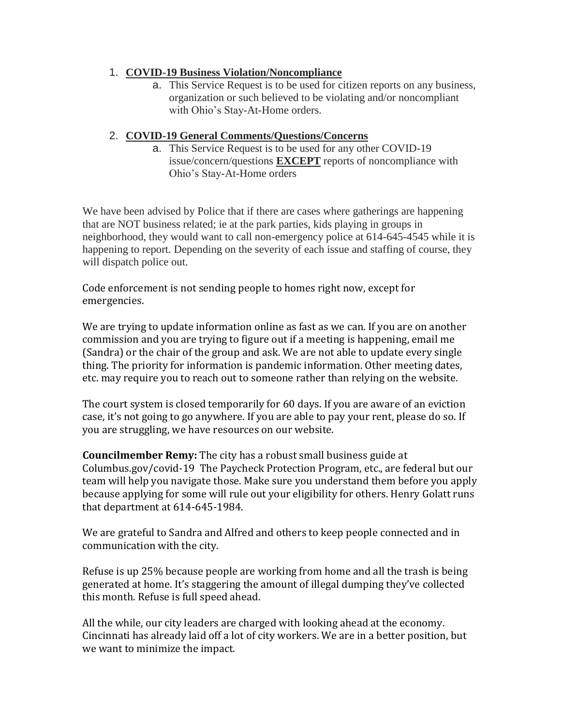#### 1. **COVID-19 Business Violation/Noncompliance**

a. This Service Request is to be used for citizen reports on any business, organization or such believed to be violating and/or noncompliant with Ohio's Stay-At-Home orders.

#### 2. **COVID-19 General Comments/Questions/Concerns**

a. This Service Request is to be used for any other COVID-19 issue/concern/questions **EXCEPT** reports of noncompliance with Ohio's Stay-At-Home orders

We have been advised by Police that if there are cases where gatherings are happening that are NOT business related; ie at the park parties, kids playing in groups in neighborhood, they would want to call non-emergency police at 614-645-4545 while it is happening to report. Depending on the severity of each issue and staffing of course, they will dispatch police out.

Code enforcement is not sending people to homes right now, except for emergencies.

We are trying to update information online as fast as we can. If you are on another commission and you are trying to figure out if a meeting is happening, email me (Sandra) or the chair of the group and ask. We are not able to update every single thing. The priority for information is pandemic information. Other meeting dates, etc. may require you to reach out to someone rather than relying on the website.

The court system is closed temporarily for 60 days. If you are aware of an eviction case, it's not going to go anywhere. If you are able to pay your rent, please do so. If you are struggling, we have resources on our website.

**Councilmember Remy:** The city has a robust small business guide at Columbus.gov/covid-19 The Paycheck Protection Program, etc., are federal but our team will help you navigate those. Make sure you understand them before you apply because applying for some will rule out your eligibility for others. Henry Golatt runs that department at 614-645-1984.

We are grateful to Sandra and Alfred and others to keep people connected and in communication with the city.

Refuse is up 25% because people are working from home and all the trash is being generated at home. It's staggering the amount of illegal dumping they've collected this month. Refuse is full speed ahead.

All the while, our city leaders are charged with looking ahead at the economy. Cincinnati has already laid off a lot of city workers. We are in a better position, but we want to minimize the impact.